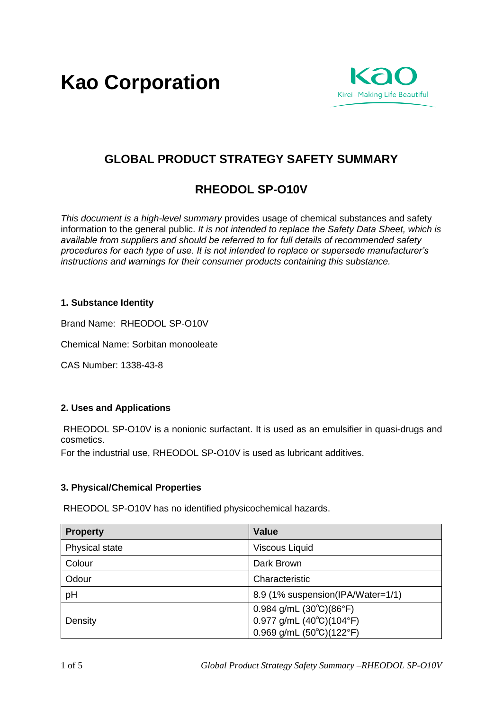**Kao Corporation**



# **GLOBAL PRODUCT STRATEGY SAFETY SUMMARY**

# **RHEODOL SP-O10V**

*This document is a high-level summary* provides usage of chemical substances and safety information to the general public. *It is not intended to replace the Safety Data Sheet, which is available from suppliers and should be referred to for full details of recommended safety procedures for each type of use. It is not intended to replace or supersede manufacturer's instructions and warnings for their consumer products containing this substance.* 

## **1. Substance Identity**

Brand Name: RHEODOL SP-O10V

Chemical Name: Sorbitan monooleate

CAS Number: 1338-43-8

# **2. Uses and Applications**

RHEODOL SP-O10V is a nonionic surfactant. It is used as an emulsifier in quasi-drugs and cosmetics.

For the industrial use, RHEODOL SP-O10V is used as lubricant additives.

# **3. Physical/Chemical Properties**

RHEODOL SP-O10V has no identified physicochemical hazards.

| <b>Property</b> | <b>Value</b>                               |
|-----------------|--------------------------------------------|
| Physical state  | <b>Viscous Liquid</b>                      |
| Colour          | Dark Brown                                 |
| Odour           | Characteristic                             |
| pH              | 8.9 (1% suspension(IPA/Water=1/1)          |
|                 | 0.984 g/mL $(30^{\circ}C)(86^{\circ}F)$    |
| Density         | $0.977$ g/mL $(40^{\circ}C)(104^{\circ}F)$ |
|                 | $0.969$ g/mL $(50^{\circ}C)(122^{\circ}F)$ |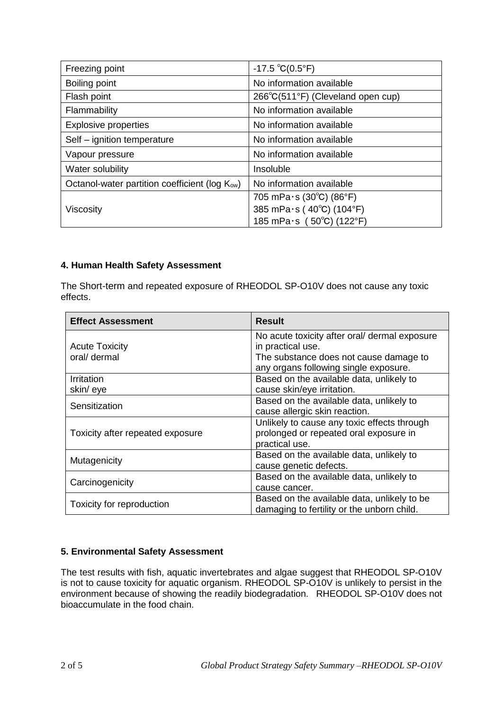| Freezing point                                             | $-17.5 °C(0.5 °F)$                |
|------------------------------------------------------------|-----------------------------------|
| Boiling point                                              | No information available          |
| Flash point                                                | 266°C(511°F) (Cleveland open cup) |
| Flammability                                               | No information available          |
| <b>Explosive properties</b>                                | No information available          |
| Self - ignition temperature                                | No information available          |
| Vapour pressure                                            | No information available          |
| Water solubility                                           | Insoluble                         |
| Octanol-water partition coefficient (log K <sub>ow</sub> ) | No information available          |
| Viscosity                                                  | 705 mPa $\cdot$ s (30°C) (86°F)   |
|                                                            | 385 mPa·s (40°C) (104°F)          |
|                                                            | 185 mPa $\cdot$ s (50°C) (122°F)  |

## **4. Human Health Safety Assessment**

The Short-term and repeated exposure of RHEODOL SP-O10V does not cause any toxic effects.

| <b>Effect Assessment</b>         | <b>Result</b>                                 |
|----------------------------------|-----------------------------------------------|
|                                  | No acute toxicity after oral/ dermal exposure |
| <b>Acute Toxicity</b>            | in practical use.                             |
| oral/ dermal                     | The substance does not cause damage to        |
|                                  | any organs following single exposure.         |
| Irritation                       | Based on the available data, unlikely to      |
| skin/eye                         | cause skin/eye irritation.                    |
| Sensitization                    | Based on the available data, unlikely to      |
|                                  | cause allergic skin reaction.                 |
|                                  | Unlikely to cause any toxic effects through   |
| Toxicity after repeated exposure | prolonged or repeated oral exposure in        |
|                                  | practical use.                                |
| Mutagenicity                     | Based on the available data, unlikely to      |
|                                  | cause genetic defects.                        |
| Carcinogenicity                  | Based on the available data, unlikely to      |
|                                  | cause cancer.                                 |
|                                  | Based on the available data, unlikely to be   |
| Toxicity for reproduction        | damaging to fertility or the unborn child.    |

# **5. Environmental Safety Assessment**

The test results with fish, aquatic invertebrates and algae suggest that RHEODOL SP-O10V is not to cause toxicity for aquatic organism. RHEODOL SP-O10V is unlikely to persist in the environment because of showing the readily biodegradation. RHEODOL SP-O10V does not bioaccumulate in the food chain.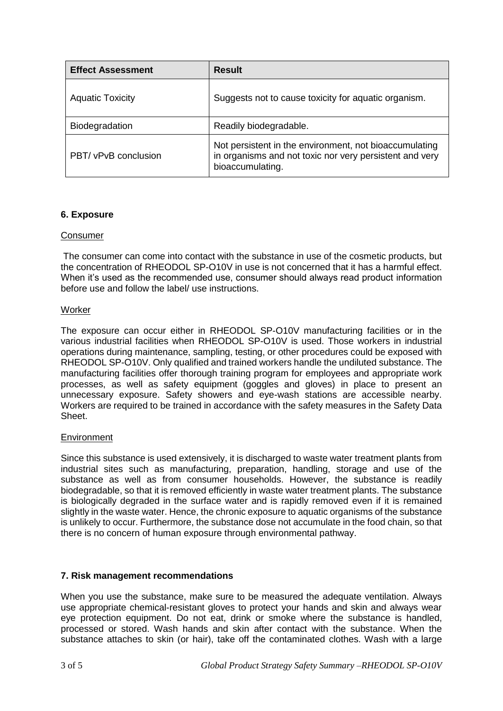| <b>Effect Assessment</b> | <b>Result</b>                                                                                                                         |
|--------------------------|---------------------------------------------------------------------------------------------------------------------------------------|
| <b>Aquatic Toxicity</b>  | Suggests not to cause toxicity for aquatic organism.                                                                                  |
| Biodegradation           | Readily biodegradable.                                                                                                                |
| PBT/ vPvB conclusion     | Not persistent in the environment, not bioaccumulating<br>in organisms and not toxic nor very persistent and very<br>bioaccumulating. |

## **6. Exposure**

#### Consumer

The consumer can come into contact with the substance in use of the cosmetic products, but the concentration of RHEODOL SP-O10V in use is not concerned that it has a harmful effect. When it's used as the recommended use, consumer should always read product information before use and follow the label/ use instructions.

#### **Worker**

The exposure can occur either in RHEODOL SP-O10V manufacturing facilities or in the various industrial facilities when RHEODOL SP-O10V is used. Those workers in industrial operations during maintenance, sampling, testing, or other procedures could be exposed with RHEODOL SP-O10V. Only qualified and trained workers handle the undiluted substance. The manufacturing facilities offer thorough training program for employees and appropriate work processes, as well as safety equipment (goggles and gloves) in place to present an unnecessary exposure. Safety showers and eye-wash stations are accessible nearby. Workers are required to be trained in accordance with the safety measures in the Safety Data Sheet.

#### **Environment**

Since this substance is used extensively, it is discharged to waste water treatment plants from industrial sites such as manufacturing, preparation, handling, storage and use of the substance as well as from consumer households. However, the substance is readily biodegradable, so that it is removed efficiently in waste water treatment plants. The substance is biologically degraded in the surface water and is rapidly removed even if it is remained slightly in the waste water. Hence, the chronic exposure to aquatic organisms of the substance is unlikely to occur. Furthermore, the substance dose not accumulate in the food chain, so that there is no concern of human exposure through environmental pathway.

#### **7. Risk management recommendations**

When you use the substance, make sure to be measured the adequate ventilation. Always use appropriate chemical-resistant gloves to protect your hands and skin and always wear eye protection equipment. Do not eat, drink or smoke where the substance is handled, processed or stored. Wash hands and skin after contact with the substance. When the substance attaches to skin (or hair), take off the contaminated clothes. Wash with a large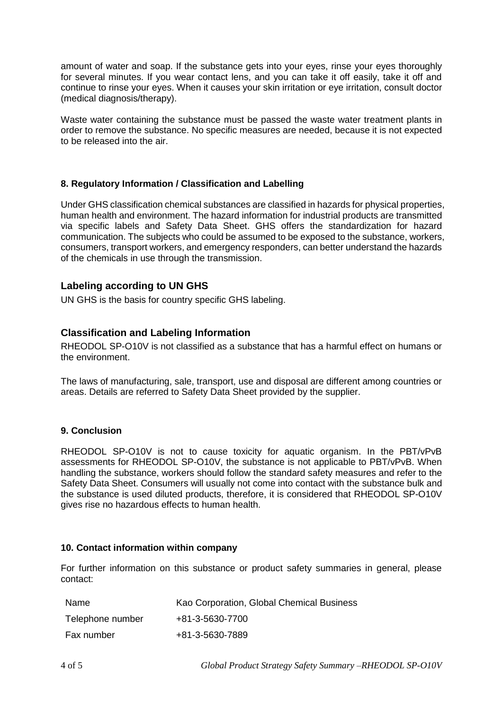amount of water and soap. If the substance gets into your eyes, rinse your eyes thoroughly for several minutes. If you wear contact lens, and you can take it off easily, take it off and continue to rinse your eyes. When it causes your skin irritation or eye irritation, consult doctor (medical diagnosis/therapy).

Waste water containing the substance must be passed the waste water treatment plants in order to remove the substance. No specific measures are needed, because it is not expected to be released into the air.

## **8. Regulatory Information / Classification and Labelling**

Under GHS classification chemical substances are classified in hazards for physical properties, human health and environment. The hazard information for industrial products are transmitted via specific labels and Safety Data Sheet. GHS offers the standardization for hazard communication. The subjects who could be assumed to be exposed to the substance, workers, consumers, transport workers, and emergency responders, can better understand the hazards of the chemicals in use through the transmission.

## **Labeling according to UN GHS**

UN GHS is the basis for country specific GHS labeling.

# **Classification and Labeling Information**

RHEODOL SP-O10V is not classified as a substance that has a harmful effect on humans or the environment.

The laws of manufacturing, sale, transport, use and disposal are different among countries or areas. Details are referred to Safety Data Sheet provided by the supplier.

#### **9. Conclusion**

RHEODOL SP-O10V is not to cause toxicity for aquatic organism. In the PBT/vPvB assessments for RHEODOL SP-O10V, the substance is not applicable to PBT/vPvB. When handling the substance, workers should follow the standard safety measures and refer to the Safety Data Sheet. Consumers will usually not come into contact with the substance bulk and the substance is used diluted products, therefore, it is considered that RHEODOL SP-O10V gives rise no hazardous effects to human health.

#### **10. Contact information within company**

For further information on this substance or product safety summaries in general, please contact:

| Name             | Kao Corporation, Global Chemical Business |
|------------------|-------------------------------------------|
| Telephone number | +81-3-5630-7700                           |
| Fax number       | +81-3-5630-7889                           |